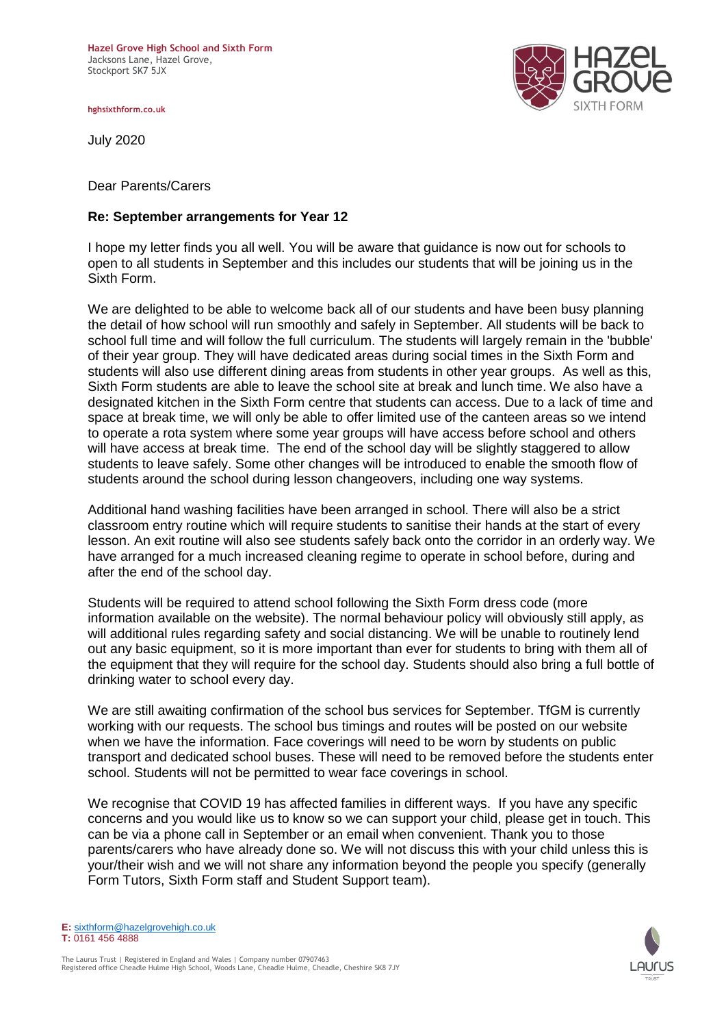**Hazel Grove High School and Sixth Form**  Jacksons Lane, Hazel Grove, Stockport SK7 5JX

**hghsixthform.co.uk**

July 2020

Dear Parents/Carers

## **Re: September arrangements for Year 12**

I hope my letter finds you all well. You will be aware that guidance is now out for schools to open to all students in September and this includes our students that will be joining us in the Sixth Form.

We are delighted to be able to welcome back all of our students and have been busy planning the detail of how school will run smoothly and safely in September. All students will be back to school full time and will follow the full curriculum. The students will largely remain in the 'bubble' of their year group. They will have dedicated areas during social times in the Sixth Form and students will also use different dining areas from students in other year groups. As well as this, Sixth Form students are able to leave the school site at break and lunch time. We also have a designated kitchen in the Sixth Form centre that students can access. Due to a lack of time and space at break time, we will only be able to offer limited use of the canteen areas so we intend to operate a rota system where some year groups will have access before school and others will have access at break time. The end of the school day will be slightly staggered to allow students to leave safely. Some other changes will be introduced to enable the smooth flow of students around the school during lesson changeovers, including one way systems.

Additional hand washing facilities have been arranged in school. There will also be a strict classroom entry routine which will require students to sanitise their hands at the start of every lesson. An exit routine will also see students safely back onto the corridor in an orderly way. We have arranged for a much increased cleaning regime to operate in school before, during and after the end of the school day.

Students will be required to attend school following the Sixth Form dress code (more information available on the website). The normal behaviour policy will obviously still apply, as will additional rules regarding safety and social distancing. We will be unable to routinely lend out any basic equipment, so it is more important than ever for students to bring with them all of the equipment that they will require for the school day. Students should also bring a full bottle of drinking water to school every day.

We are still awaiting confirmation of the school bus services for September. TfGM is currently working with our requests. The school bus timings and routes will be posted on our website when we have the information. Face coverings will need to be worn by students on public transport and dedicated school buses. These will need to be removed before the students enter school. Students will not be permitted to wear face coverings in school.

We recognise that COVID 19 has affected families in different ways. If you have any specific concerns and you would like us to know so we can support your child, please get in touch. This can be via a phone call in September or an email when convenient. Thank you to those parents/carers who have already done so. We will not discuss this with your child unless this is your/their wish and we will not share any information beyond the people you specify (generally Form Tutors, Sixth Form staff and Student Support team).